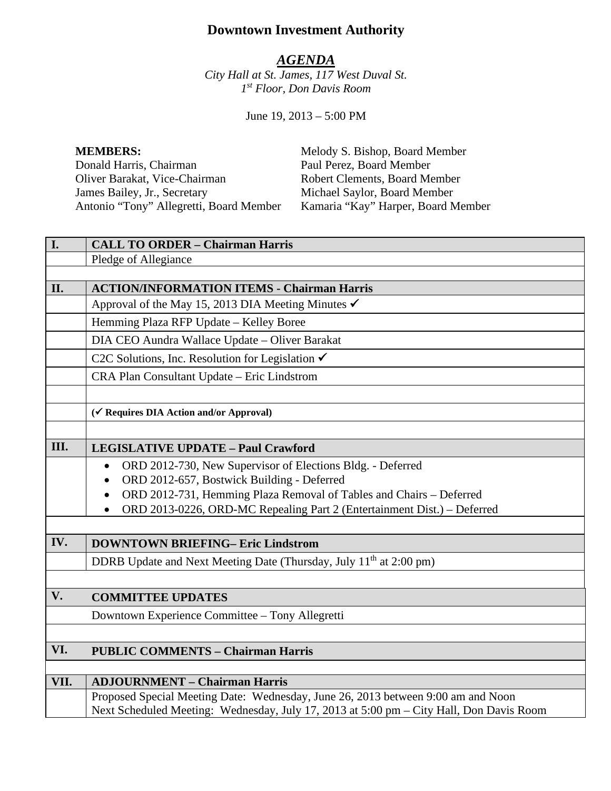# **Downtown Investment Authority**

# *AGENDA*

*City Hall at St. James, 117 West Duval St. 1st Floor, Don Davis Room*

June 19, 2013 – 5:00 PM

Donald Harris, Chairman<br>
Diver Barakat, Vice-Chairman<br>
Paul Perez, Board Member<br>
Robert Clements, Board Member Oliver Barakat, Vice-Chairman Robert Clements, Board Member<br>
James Bailey, Jr., Secretary Michael Saylor, Board Member James Bailey, Jr., Secretary Michael Saylor, Board Member Antonio "Tony" Allegretti, Board Member Kamaria "Kay" Harper, Board Member

**MEMBERS:** Melody S. Bishop, Board Member

| I.   | <b>CALL TO ORDER - Chairman Harris</b>                                                  |
|------|-----------------------------------------------------------------------------------------|
|      | Pledge of Allegiance                                                                    |
|      |                                                                                         |
| II.  | <b>ACTION/INFORMATION ITEMS - Chairman Harris</b>                                       |
|      | Approval of the May 15, 2013 DIA Meeting Minutes $\checkmark$                           |
|      | Hemming Plaza RFP Update - Kelley Boree                                                 |
|      | DIA CEO Aundra Wallace Update - Oliver Barakat                                          |
|      | C2C Solutions, Inc. Resolution for Legislation $\checkmark$                             |
|      | CRA Plan Consultant Update - Eric Lindstrom                                             |
|      |                                                                                         |
|      | (√ Requires DIA Action and/or Approval)                                                 |
|      |                                                                                         |
| III. | <b>LEGISLATIVE UPDATE - Paul Crawford</b>                                               |
|      | ORD 2012-730, New Supervisor of Elections Bldg. - Deferred<br>$\bullet$                 |
|      | ORD 2012-657, Bostwick Building - Deferred<br>$\bullet$                                 |
|      | ORD 2012-731, Hemming Plaza Removal of Tables and Chairs - Deferred                     |
|      | ORD 2013-0226, ORD-MC Repealing Part 2 (Entertainment Dist.) – Deferred                 |
|      |                                                                                         |
| IV.  | <b>DOWNTOWN BRIEFING- Eric Lindstrom</b>                                                |
|      | DDRB Update and Next Meeting Date (Thursday, July 11 <sup>th</sup> at 2:00 pm)          |
|      |                                                                                         |
| V.   | <b>COMMITTEE UPDATES</b>                                                                |
|      | Downtown Experience Committee - Tony Allegretti                                         |
|      |                                                                                         |
| VI.  | <b>PUBLIC COMMENTS - Chairman Harris</b>                                                |
|      |                                                                                         |
| VII. | <b>ADJOURNMENT - Chairman Harris</b>                                                    |
|      | Proposed Special Meeting Date: Wednesday, June 26, 2013 between 9:00 am and Noon        |
|      | Next Scheduled Meeting: Wednesday, July 17, 2013 at 5:00 pm – City Hall, Don Davis Room |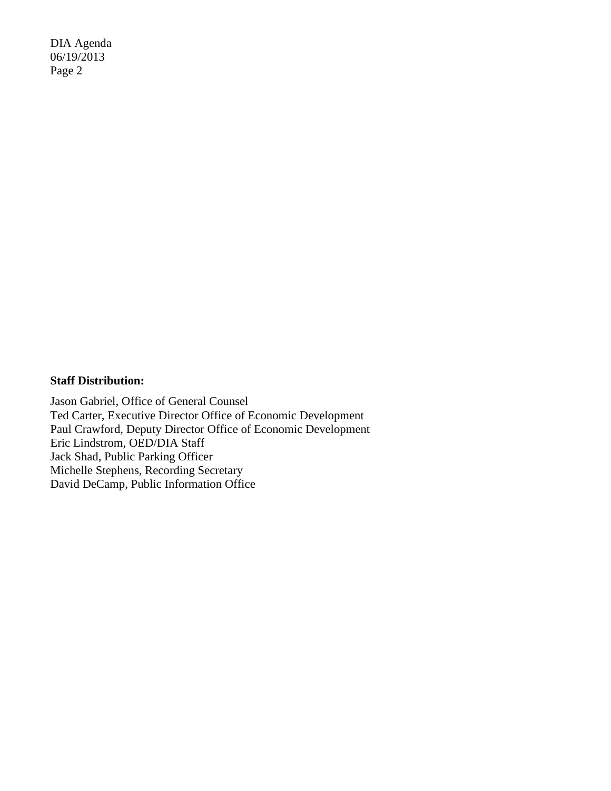DIA Agenda 06/19/2013 Page 2

#### **Staff Distribution:**

Jason Gabriel, Office of General Counsel Ted Carter, Executive Director Office of Economic Development Paul Crawford, Deputy Director Office of Economic Development Eric Lindstrom, OED/DIA Staff Jack Shad, Public Parking Officer Michelle Stephens, Recording Secretary David DeCamp, Public Information Office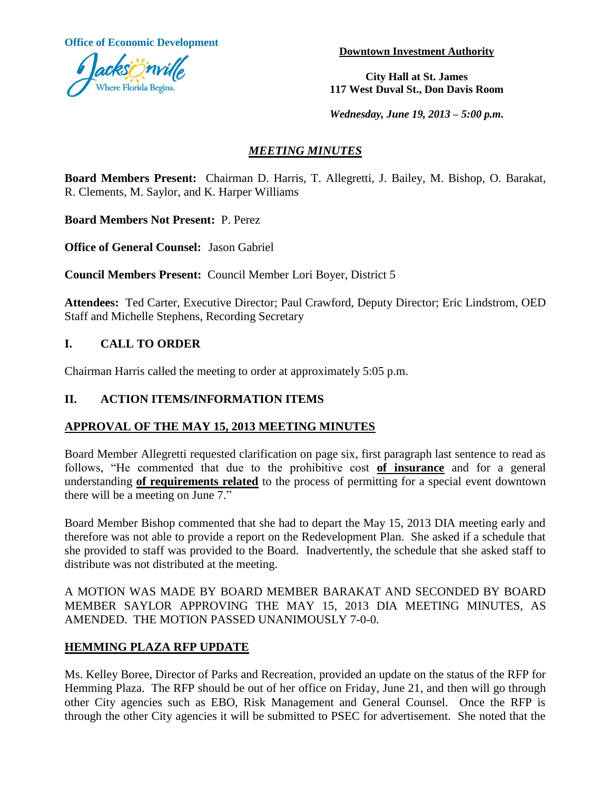**Office of Economic Development**



**Downtown Investment Authority**

**City Hall at St. James 117 West Duval St., Don Davis Room**

*Wednesday, June 19, 2013 – 5:00 p.m.*

# *MEETING MINUTES*

**Board Members Present:** Chairman D. Harris, T. Allegretti, J. Bailey, M. Bishop, O. Barakat, R. Clements, M. Saylor, and K. Harper Williams

**Board Members Not Present:** P. Perez

**Office of General Counsel:** Jason Gabriel

**Council Members Present:** Council Member Lori Boyer, District 5

**Attendees:** Ted Carter, Executive Director; Paul Crawford, Deputy Director; Eric Lindstrom, OED Staff and Michelle Stephens, Recording Secretary

## **I. CALL TO ORDER**

Chairman Harris called the meeting to order at approximately 5:05 p.m.

## **II. ACTION ITEMS/INFORMATION ITEMS**

## **APPROVAL OF THE MAY 15, 2013 MEETING MINUTES**

Board Member Allegretti requested clarification on page six, first paragraph last sentence to read as follows, "He commented that due to the prohibitive cost **of insurance** and for a general understanding **of requirements related** to the process of permitting for a special event downtown there will be a meeting on June 7."

Board Member Bishop commented that she had to depart the May 15, 2013 DIA meeting early and therefore was not able to provide a report on the Redevelopment Plan. She asked if a schedule that she provided to staff was provided to the Board. Inadvertently, the schedule that she asked staff to distribute was not distributed at the meeting.

A MOTION WAS MADE BY BOARD MEMBER BARAKAT AND SECONDED BY BOARD MEMBER SAYLOR APPROVING THE MAY 15, 2013 DIA MEETING MINUTES, AS AMENDED. THE MOTION PASSED UNANIMOUSLY 7-0-0.

## **HEMMING PLAZA RFP UPDATE**

Ms. Kelley Boree, Director of Parks and Recreation, provided an update on the status of the RFP for Hemming Plaza. The RFP should be out of her office on Friday, June 21, and then will go through other City agencies such as EBO, Risk Management and General Counsel. Once the RFP is through the other City agencies it will be submitted to PSEC for advertisement. She noted that the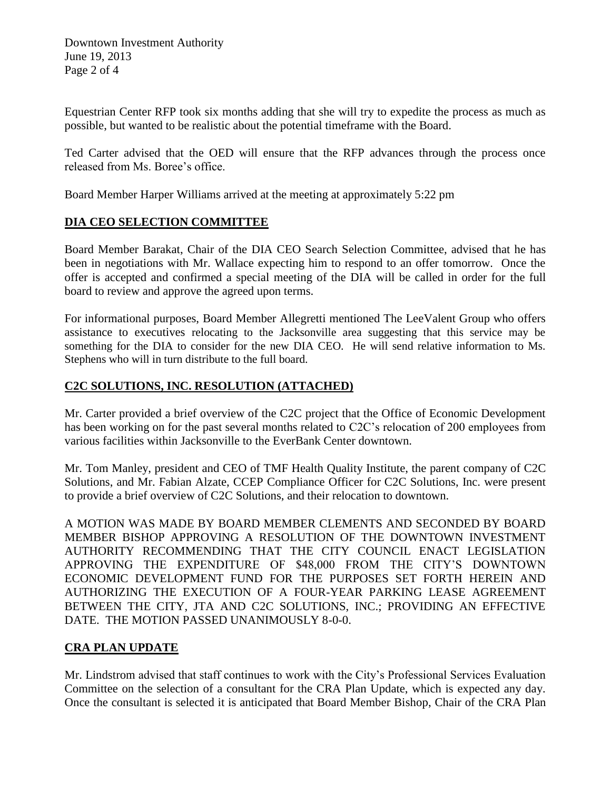Equestrian Center RFP took six months adding that she will try to expedite the process as much as possible, but wanted to be realistic about the potential timeframe with the Board.

Ted Carter advised that the OED will ensure that the RFP advances through the process once released from Ms. Boree's office.

Board Member Harper Williams arrived at the meeting at approximately 5:22 pm

# **DIA CEO SELECTION COMMITTEE**

Board Member Barakat, Chair of the DIA CEO Search Selection Committee, advised that he has been in negotiations with Mr. Wallace expecting him to respond to an offer tomorrow. Once the offer is accepted and confirmed a special meeting of the DIA will be called in order for the full board to review and approve the agreed upon terms.

For informational purposes, Board Member Allegretti mentioned The LeeValent Group who offers assistance to executives relocating to the Jacksonville area suggesting that this service may be something for the DIA to consider for the new DIA CEO. He will send relative information to Ms. Stephens who will in turn distribute to the full board.

# **C2C SOLUTIONS, INC. RESOLUTION (ATTACHED)**

Mr. Carter provided a brief overview of the C2C project that the Office of Economic Development has been working on for the past several months related to C2C's relocation of 200 employees from various facilities within Jacksonville to the EverBank Center downtown.

Mr. Tom Manley, president and CEO of TMF Health Quality Institute, the parent company of C2C Solutions, and Mr. Fabian Alzate, CCEP Compliance Officer for C2C Solutions, Inc. were present to provide a brief overview of C2C Solutions, and their relocation to downtown.

A MOTION WAS MADE BY BOARD MEMBER CLEMENTS AND SECONDED BY BOARD MEMBER BISHOP APPROVING A RESOLUTION OF THE DOWNTOWN INVESTMENT AUTHORITY RECOMMENDING THAT THE CITY COUNCIL ENACT LEGISLATION APPROVING THE EXPENDITURE OF \$48,000 FROM THE CITY'S DOWNTOWN ECONOMIC DEVELOPMENT FUND FOR THE PURPOSES SET FORTH HEREIN AND AUTHORIZING THE EXECUTION OF A FOUR-YEAR PARKING LEASE AGREEMENT BETWEEN THE CITY, JTA AND C2C SOLUTIONS, INC.; PROVIDING AN EFFECTIVE DATE. THE MOTION PASSED UNANIMOUSLY 8-0-0.

## **CRA PLAN UPDATE**

Mr. Lindstrom advised that staff continues to work with the City's Professional Services Evaluation Committee on the selection of a consultant for the CRA Plan Update, which is expected any day. Once the consultant is selected it is anticipated that Board Member Bishop, Chair of the CRA Plan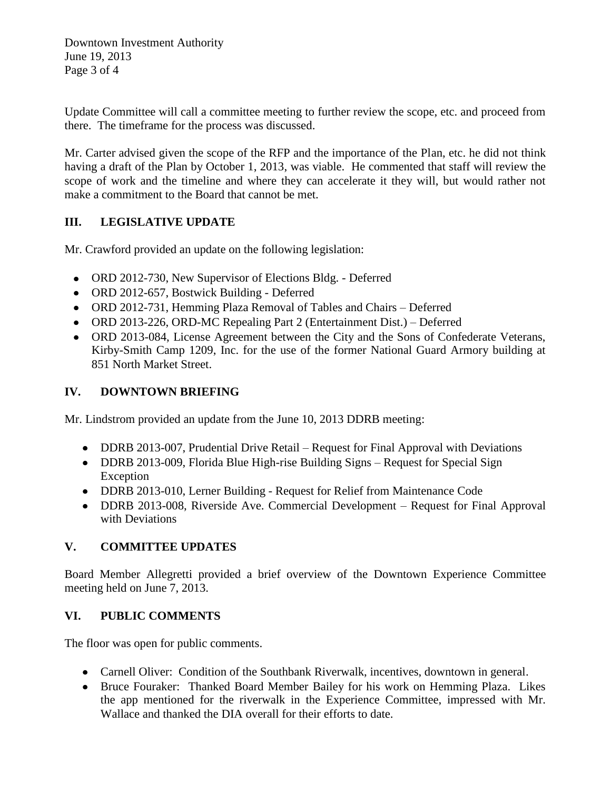Downtown Investment Authority June 19, 2013 Page 3 of 4

Update Committee will call a committee meeting to further review the scope, etc. and proceed from there. The timeframe for the process was discussed.

Mr. Carter advised given the scope of the RFP and the importance of the Plan, etc. he did not think having a draft of the Plan by October 1, 2013, was viable. He commented that staff will review the scope of work and the timeline and where they can accelerate it they will, but would rather not make a commitment to the Board that cannot be met.

# **III. LEGISLATIVE UPDATE**

Mr. Crawford provided an update on the following legislation:

- ORD 2012-730, New Supervisor of Elections Bldg. Deferred
- ORD 2012-657, Bostwick Building Deferred
- ORD 2012-731, Hemming Plaza Removal of Tables and Chairs Deferred
- ORD 2013-226, ORD-MC Repealing Part 2 (Entertainment Dist.) Deferred
- ORD 2013-084, License Agreement between the City and the Sons of Confederate Veterans, Kirby-Smith Camp 1209, Inc. for the use of the former National Guard Armory building at 851 North Market Street.

# **IV. DOWNTOWN BRIEFING**

Mr. Lindstrom provided an update from the June 10, 2013 DDRB meeting:

- DDRB 2013-007, Prudential Drive Retail Request for Final Approval with Deviations
- DDRB 2013-009, Florida Blue High-rise Building Signs Request for Special Sign Exception
- DDRB 2013-010, Lerner Building Request for Relief from Maintenance Code
- DDRB 2013-008, Riverside Ave. Commercial Development Request for Final Approval with Deviations

# **V. COMMITTEE UPDATES**

Board Member Allegretti provided a brief overview of the Downtown Experience Committee meeting held on June 7, 2013.

# **VI. PUBLIC COMMENTS**

The floor was open for public comments.

- Carnell Oliver: Condition of the Southbank Riverwalk, incentives, downtown in general.
- Bruce Fouraker: Thanked Board Member Bailey for his work on Hemming Plaza. Likes the app mentioned for the riverwalk in the Experience Committee, impressed with Mr. Wallace and thanked the DIA overall for their efforts to date.